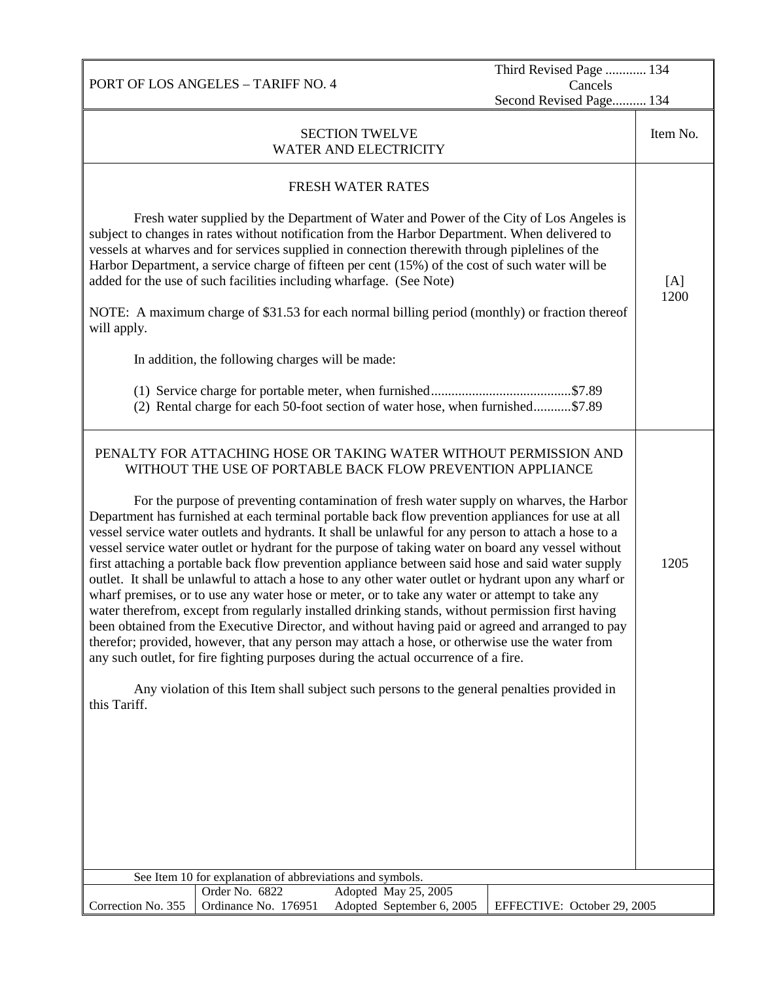PORT OF LOS ANGELES – TARIFF NO. 4 Third Revised Page ............ 134 Cancels Second Revised Page.......... 134 SECTION TWELVE WATER AND ELECTRICITY Item No. FRESH WATER RATES Fresh water supplied by the Department of Water and Power of the City of Los Angeles is subject to changes in rates without notification from the Harbor Department. When delivered to vessels at wharves and for services supplied in connection therewith through piplelines of the Harbor Department, a service charge of fifteen per cent (15%) of the cost of such water will be added for the use of such facilities including wharfage. (See Note) NOTE: A maximum charge of \$31.53 for each normal billing period (monthly) or fraction thereof will apply. In addition, the following charges will be made: (1) Service charge for portable meter, when furnished.........................................\$7.89 (2) Rental charge for each 50-foot section of water hose, when furnished...........\$7.89  $[A]$ 1200 PENALTY FOR ATTACHING HOSE OR TAKING WATER WITHOUT PERMISSION AND WITHOUT THE USE OF PORTABLE BACK FLOW PREVENTION APPLIANCE For the purpose of preventing contamination of fresh water supply on wharves, the Harbor Department has furnished at each terminal portable back flow prevention appliances for use at all vessel service water outlets and hydrants. It shall be unlawful for any person to attach a hose to a vessel service water outlet or hydrant for the purpose of taking water on board any vessel without first attaching a portable back flow prevention appliance between said hose and said water supply outlet. It shall be unlawful to attach a hose to any other water outlet or hydrant upon any wharf or wharf premises, or to use any water hose or meter, or to take any water or attempt to take any water therefrom, except from regularly installed drinking stands, without permission first having been obtained from the Executive Director, and without having paid or agreed and arranged to pay therefor; provided, however, that any person may attach a hose, or otherwise use the water from any such outlet, for fire fighting purposes during the actual occurrence of a fire. Any violation of this Item shall subject such persons to the general penalties provided in this Tariff. 1205 See Item 10 for explanation of abbreviations and symbols.<br>
Order No. 6822 Adopted May 25, Correction No. 355 Adopted May 25, 2005 Ordinance No. 176951 Adopted September 6, 2005 EFFECTIVE: October 29, 2005